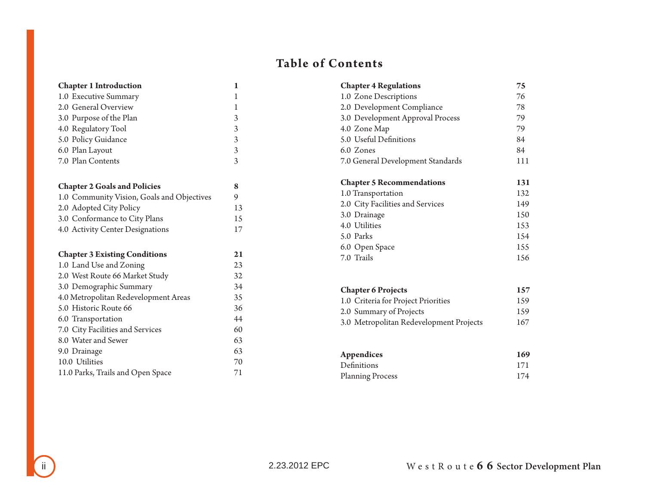## **Table of Contents**

| <b>Chapter 1 Introduction</b>              | 1  |
|--------------------------------------------|----|
| 1.0 Executive Summary                      | 1  |
| 2.0 General Overview                       | 1  |
| 3.0 Purpose of the Plan                    | 3  |
| 4.0 Regulatory Tool                        | 3  |
| 5.0 Policy Guidance                        | 3  |
| 6.0 Plan Layout                            | 3  |
| 7.0 Plan Contents                          | 3  |
|                                            |    |
| <b>Chapter 2 Goals and Policies</b>        | 8  |
| 1.0 Community Vision, Goals and Objectives | 9  |
| 2.0 Adopted City Policy                    | 13 |
| 3.0 Conformance to City Plans              | 15 |
| 4.0 Activity Center Designations           | 17 |
|                                            |    |
| <b>Chapter 3 Existing Conditions</b>       | 21 |
| 1.0 Land Use and Zoning                    | 23 |
| 2.0 West Route 66 Market Study             | 32 |
| 3.0 Demographic Summary                    | 34 |
| 4.0 Metropolitan Redevelopment Areas       | 35 |
| 5.0 Historic Route 66                      | 36 |
| 6.0 Transportation                         | 44 |
| 7.0 City Facilities and Services           | 60 |
| 8.0 Water and Sewer                        | 63 |
| 9.0 Drainage                               | 63 |
| 10.0 Utilities                             | 70 |
| 11.0 Parks, Trails and Open Space          | 71 |

| <b>Chapter 4 Regulations</b>      | 75  |
|-----------------------------------|-----|
| 1.0 Zone Descriptions             | 76  |
| 2.0 Development Compliance        | 78  |
| 3.0 Development Approval Process  | 79  |
| 4.0 Zone Map                      | 79  |
| 5.0 Useful Definitions            | 84  |
| 6.0 Zones                         | 84  |
| 7.0 General Development Standards | 111 |
|                                   |     |
|                                   |     |
| <b>Chapter 5 Recommendations</b>  | 131 |
| 1.0 Transportation                | 132 |
| 2.0 City Facilities and Services  | 149 |
| 3.0 Drainage                      | 150 |
| 4.0 Utilities                     | 153 |
| 5.0 Parks                         | 154 |
| 6.0 Open Space                    | 155 |
| 7.0 Trails                        | 156 |

| <b>Chapter 6 Projects</b>               | 157 |
|-----------------------------------------|-----|
| 1.0 Criteria for Project Priorities     | 159 |
| 2.0 Summary of Projects                 | 159 |
| 3.0 Metropolitan Redevelopment Projects | 167 |

| Appendices              | 169 |
|-------------------------|-----|
| Definitions             | 171 |
| <b>Planning Process</b> | 174 |